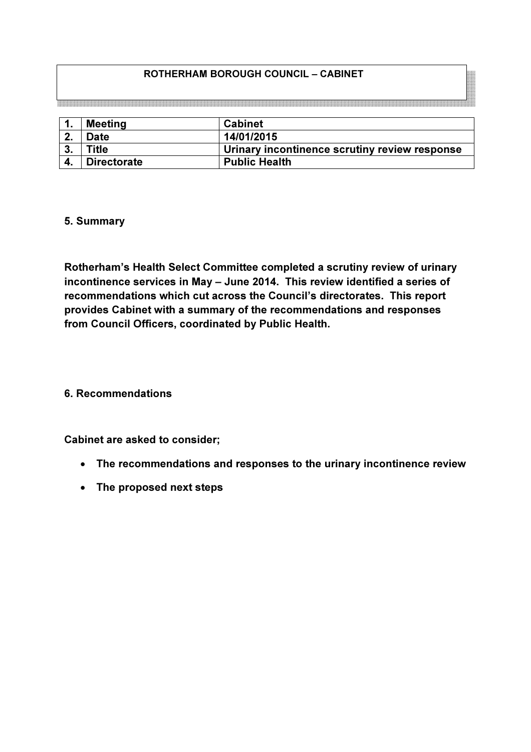# ROTHERHAM BOROUGH COUNCIL – CABINET

| ι. | <b>Meeting</b>     | <b>Cabinet</b>                                |
|----|--------------------|-----------------------------------------------|
| າ  | <b>Date</b>        | 14/01/2015                                    |
| 3. | <b>Title</b>       | Urinary incontinence scrutiny review response |
|    | <b>Directorate</b> | <b>Public Health</b>                          |

#### 5. Summary

Rotherham's Health Select Committee completed a scrutiny review of urinary incontinence services in May – June 2014. This review identified a series of recommendations which cut across the Council's directorates. This report provides Cabinet with a summary of the recommendations and responses from Council Officers, coordinated by Public Health.

### 6. Recommendations

#### Cabinet are asked to consider;

- The recommendations and responses to the urinary incontinence review
- The proposed next steps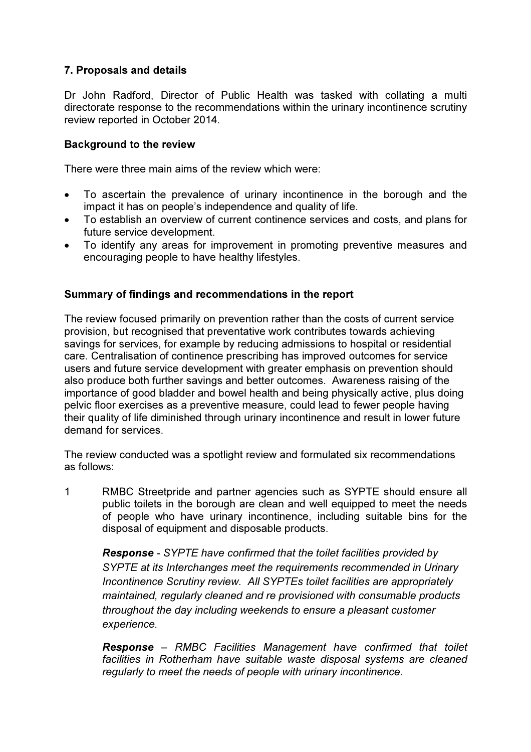# 7. Proposals and details

Dr John Radford, Director of Public Health was tasked with collating a multi directorate response to the recommendations within the urinary incontinence scrutiny review reported in October 2014.

### Background to the review

There were three main aims of the review which were:

- To ascertain the prevalence of urinary incontinence in the borough and the impact it has on people's independence and quality of life.
- To establish an overview of current continence services and costs, and plans for future service development.
- To identify any areas for improvement in promoting preventive measures and encouraging people to have healthy lifestyles.

### Summary of findings and recommendations in the report

The review focused primarily on prevention rather than the costs of current service provision, but recognised that preventative work contributes towards achieving savings for services, for example by reducing admissions to hospital or residential care. Centralisation of continence prescribing has improved outcomes for service users and future service development with greater emphasis on prevention should also produce both further savings and better outcomes. Awareness raising of the importance of good bladder and bowel health and being physically active, plus doing pelvic floor exercises as a preventive measure, could lead to fewer people having their quality of life diminished through urinary incontinence and result in lower future demand for services.

The review conducted was a spotlight review and formulated six recommendations as follows:

1 RMBC Streetpride and partner agencies such as SYPTE should ensure all public toilets in the borough are clean and well equipped to meet the needs of people who have urinary incontinence, including suitable bins for the disposal of equipment and disposable products.

Response - SYPTE have confirmed that the toilet facilities provided by SYPTE at its Interchanges meet the requirements recommended in Urinary Incontinence Scrutiny review. All SYPTEs toilet facilities are appropriately maintained, regularly cleaned and re provisioned with consumable products throughout the day including weekends to ensure a pleasant customer experience.

Response – RMBC Facilities Management have confirmed that toilet facilities in Rotherham have suitable waste disposal systems are cleaned regularly to meet the needs of people with urinary incontinence.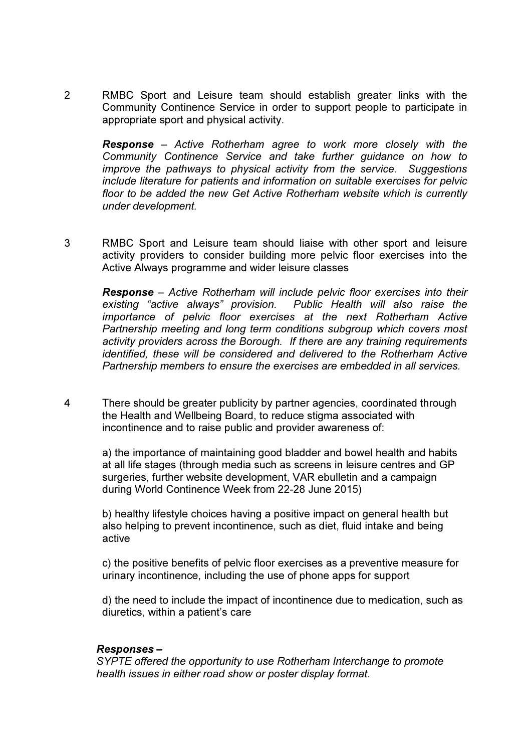2 RMBC Sport and Leisure team should establish greater links with the Community Continence Service in order to support people to participate in appropriate sport and physical activity.

Response – Active Rotherham agree to work more closely with the Community Continence Service and take further guidance on how to improve the pathways to physical activity from the service. Suggestions include literature for patients and information on suitable exercises for pelvic floor to be added the new Get Active Rotherham website which is currently under development.

3 RMBC Sport and Leisure team should liaise with other sport and leisure activity providers to consider building more pelvic floor exercises into the Active Always programme and wider leisure classes

Response – Active Rotherham will include pelvic floor exercises into their existing "active always" provision. Public Health will also raise the importance of pelvic floor exercises at the next Rotherham Active Partnership meeting and long term conditions subgroup which covers most activity providers across the Borough. If there are any training requirements identified, these will be considered and delivered to the Rotherham Active Partnership members to ensure the exercises are embedded in all services.

4 There should be greater publicity by partner agencies, coordinated through the Health and Wellbeing Board, to reduce stigma associated with incontinence and to raise public and provider awareness of:

a) the importance of maintaining good bladder and bowel health and habits at all life stages (through media such as screens in leisure centres and GP surgeries, further website development, VAR ebulletin and a campaign during World Continence Week from 22-28 June 2015)

 b) healthy lifestyle choices having a positive impact on general health but also helping to prevent incontinence, such as diet, fluid intake and being active

c) the positive benefits of pelvic floor exercises as a preventive measure for urinary incontinence, including the use of phone apps for support

 d) the need to include the impact of incontinence due to medication, such as diuretics, within a patient's care

#### Responses –

SYPTE offered the opportunity to use Rotherham Interchange to promote health issues in either road show or poster display format.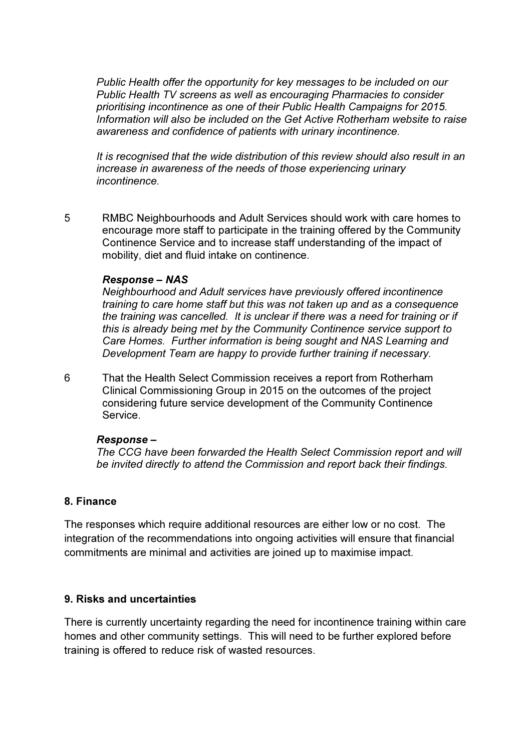Public Health offer the opportunity for key messages to be included on our Public Health TV screens as well as encouraging Pharmacies to consider prioritising incontinence as one of their Public Health Campaigns for 2015. Information will also be included on the Get Active Rotherham website to raise awareness and confidence of patients with urinary incontinence.

It is recognised that the wide distribution of this review should also result in an increase in awareness of the needs of those experiencing urinary incontinence.

5 RMBC Neighbourhoods and Adult Services should work with care homes to encourage more staff to participate in the training offered by the Community Continence Service and to increase staff understanding of the impact of mobility, diet and fluid intake on continence.

#### Response – NAS

Neighbourhood and Adult services have previously offered incontinence training to care home staff but this was not taken up and as a consequence the training was cancelled. It is unclear if there was a need for training or if this is already being met by the Community Continence service support to Care Homes. Further information is being sought and NAS Learning and Development Team are happy to provide further training if necessary.

6 That the Health Select Commission receives a report from Rotherham Clinical Commissioning Group in 2015 on the outcomes of the project considering future service development of the Community Continence Service.

#### Response –

The CCG have been forwarded the Health Select Commission report and will be invited directly to attend the Commission and report back their findings.

### 8. Finance

The responses which require additional resources are either low or no cost. The integration of the recommendations into ongoing activities will ensure that financial commitments are minimal and activities are joined up to maximise impact.

### 9. Risks and uncertainties

There is currently uncertainty regarding the need for incontinence training within care homes and other community settings. This will need to be further explored before training is offered to reduce risk of wasted resources.